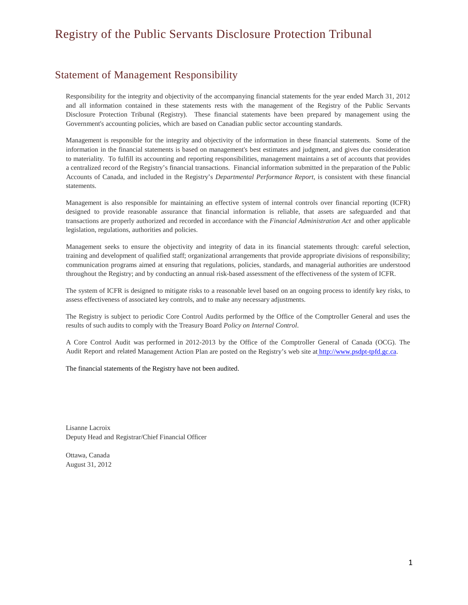## Statement of Management Responsibility

Responsibility for the integrity and objectivity of the accompanying financial statements for the year ended March 31, 2012 and all information contained in these statements rests with the management of the Registry of the Public Servants Disclosure Protection Tribunal (Registry). These financial statements have been prepared by management using the Government's accounting policies, which are based on Canadian public sector accounting standards.

Management is responsible for the integrity and objectivity of the information in these financial statements. Some of the information in the financial statements is based on management's best estimates and judgment, and gives due consideration to materiality. To fulfill its accounting and reporting responsibilities, management maintains a set of accounts that provides a centralized record of the Registry's financial transactions. Financial information submitted in the preparation of the Public Accounts of Canada, and included in the Registry's *Departmental Performance Report*, is consistent with these financial statements.

Management is also responsible for maintaining an effective system of internal controls over financial reporting (ICFR) designed to provide reasonable assurance that financial information is reliable, that assets are safeguarded and that transactions are properly authorized and recorded in accordance with the *Financial Administration Act* and other applicable legislation, regulations, authorities and policies.

Management seeks to ensure the objectivity and integrity of data in its financial statements through: careful selection, training and development of qualified staff; organizational arrangements that provide appropriate divisions of responsibility; communication programs aimed at ensuring that regulations, policies, standards, and managerial authorities are understood throughout the Registry; and by conducting an annual risk-based assessment of the effectiveness of the system of ICFR.

The system of ICFR is designed to mitigate risks to a reasonable level based on an ongoing process to identify key risks, to assess effectiveness of associated key controls, and to make any necessary adjustments.

The Registry is subject to periodic Core Control Audits performed by the Office of the Comptroller General and uses the results of such audits to comply with the Treasury Board *Policy on Internal Control*.

A Core Control Audit was performed in 2012-2013 by the Office of the Comptroller General of Canada (OCG). The Audit Report and related Management Action Plan are posted on the Registry's web site at [http://www.psdpt-tpfd.gc.ca.](http://www.psdpt-tpfd.gc.ca./)

The financial statements of the Registry have not been audited.

Lisanne Lacroix Deputy Head and Registrar/Chief Financial Officer

Ottawa, Canada August 31, 2012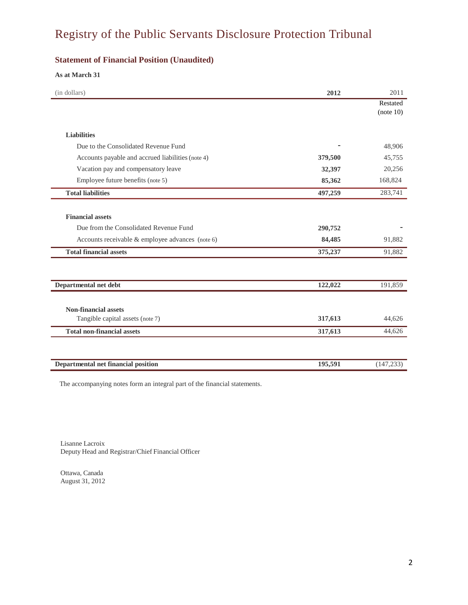### **Statement of Financial Position (Unaudited)**

### **As at March 31**

| (in dollars)                                      | 2012    | 2011       |
|---------------------------------------------------|---------|------------|
|                                                   |         | Restated   |
|                                                   |         | (note 10)  |
| <b>Liabilities</b>                                |         |            |
| Due to the Consolidated Revenue Fund              |         | 48,906     |
| Accounts payable and accrued liabilities (note 4) | 379,500 | 45,755     |
| Vacation pay and compensatory leave               | 32,397  | 20,256     |
| Employee future benefits (note 5)                 | 85,362  | 168,824    |
| <b>Total liabilities</b>                          | 497,259 | 283,741    |
|                                                   |         |            |
| <b>Financial assets</b>                           |         |            |
| Due from the Consolidated Revenue Fund            | 290,752 |            |
| Accounts receivable & employee advances (note 6)  | 84,485  | 91,882     |
| <b>Total financial assets</b>                     | 375,237 | 91,882     |
|                                                   |         |            |
| Departmental net debt                             | 122,022 | 191,859    |
| <b>Non-financial assets</b>                       |         |            |
| Tangible capital assets (note 7)                  | 317,613 | 44,626     |
| <b>Total non-financial assets</b>                 | 317,613 | 44,626     |
|                                                   |         |            |
| Departmental net financial position               | 195,591 | (147, 233) |

The accompanying notes form an integral part of the financial statements.

Lisanne Lacroix Deputy Head and Registrar/Chief Financial Officer

Ottawa, Canada August 31, 2012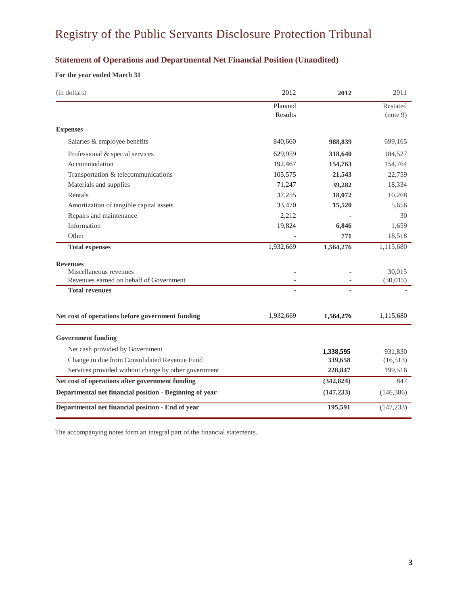## **Statement of Operations and Departmental Net Financial Position (Unaudited)**

### **For the year ended March 31**

| (in dollars)                                            | 2012      | 2012       | 2011       |
|---------------------------------------------------------|-----------|------------|------------|
|                                                         | Planned   |            | Restated   |
|                                                         | Results   |            | (note 9)   |
| <b>Expenses</b>                                         |           |            |            |
| Salaries & employee benefits                            | 840,660   | 988,839    | 699,165    |
| Professional & special services                         | 629,959   | 318,640    | 184,527    |
| Accommodation                                           | 192,467   | 154,763    | 154,764    |
| Transportation & telecommunications                     | 105,575   | 21,543     | 22,759     |
| Materials and supplies                                  | 71,247    | 39,282     | 18,334     |
| Rentals                                                 | 37,255    | 18,072     | 10,268     |
| Amortization of tangible capital assets                 | 33,470    | 15,520     | 5,656      |
| Repairs and maintenance                                 | 2,212     |            | 30         |
| Information                                             | 19,824    | 6,846      | 1,659      |
| Other                                                   |           | 771        | 18,518     |
| <b>Total expenses</b>                                   | 1,932,669 | 1,564,276  | 1,115,680  |
| <b>Revenues</b>                                         |           |            |            |
| Miscellaneous revenues                                  |           |            | 30,015     |
| Revenues earned on behalf of Government                 |           |            | (30,015)   |
| <b>Total revenues</b>                                   |           |            |            |
| Net cost of operations before government funding        | 1,932,669 | 1,564,276  | 1,115,680  |
| <b>Government funding</b>                               |           |            |            |
| Net cash provided by Government                         |           | 1,338,595  | 931,830    |
| Change in due from Consolidated Revenue Fund            |           | 339,658    | (16,513)   |
| Services provided without charge by other government    |           | 228,847    | 199,516    |
| Net cost of operations after government funding         |           | (342, 824) | 847        |
| Departmental net financial position - Beginning of year |           | (147, 233) | (146, 386) |
| Departmental net financial position - End of year       |           | 195,591    | (147, 233) |

The accompanying notes form an integral part of the financial statements.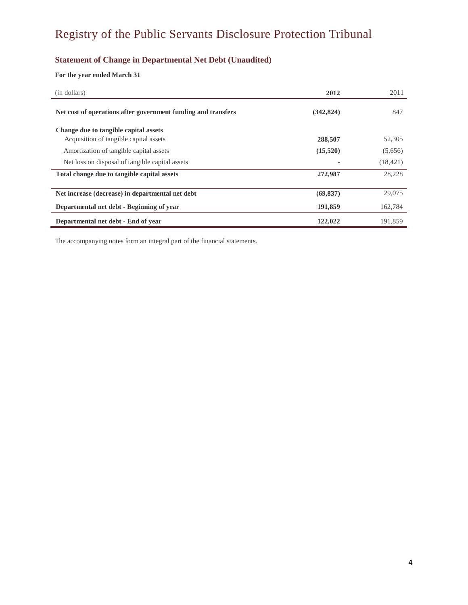## **Statement of Change in Departmental Net Debt (Unaudited)**

### **For the year ended March 31**

| (in dollars)                                                  | 2012       | 2011      |
|---------------------------------------------------------------|------------|-----------|
| Net cost of operations after government funding and transfers | (342, 824) | 847       |
| Change due to tangible capital assets                         |            |           |
| Acquisition of tangible capital assets                        | 288,507    | 52,305    |
| Amortization of tangible capital assets                       | (15,520)   | (5,656)   |
| Net loss on disposal of tangible capital assets               |            | (18, 421) |
| Total change due to tangible capital assets                   | 272,987    | 28,228    |
| Net increase (decrease) in departmental net debt              | (69, 837)  | 29,075    |
| Departmental net debt - Beginning of year                     | 191,859    | 162,784   |
| Departmental net debt - End of year                           | 122,022    | 191,859   |

The accompanying notes form an integral part of the financial statements.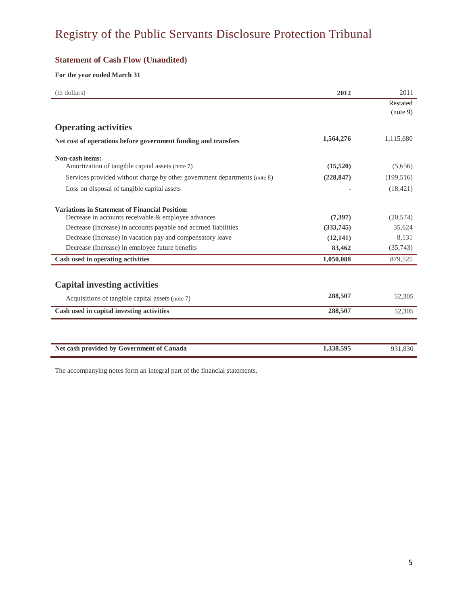## **Statement of Cash Flow (Unaudited)**

### **For the year ended March 31**

| (in dollars)                                                              | 2012       | 2011       |
|---------------------------------------------------------------------------|------------|------------|
|                                                                           |            | Restated   |
|                                                                           |            | (note 9)   |
| <b>Operating activities</b>                                               |            |            |
| Net cost of operations before government funding and transfers            | 1,564,276  | 1,115,680  |
| Non-cash items:                                                           |            |            |
| Amortization of tangible capital assets (note 7)                          | (15,520)   | (5,656)    |
| Services provided without charge by other government departments (note 8) | (228, 847) | (199, 516) |
| Loss on disposal of tangible capital assets                               |            | (18, 421)  |
| <b>Variations in Statement of Financial Position:</b>                     |            |            |
| Decrease in accounts receivable & employee advances                       | (7,397)    | (20,574)   |
| Decrease (Increase) in accounts payable and accrued liabilities           | (333,745)  | 35,624     |
| Decrease (Increase) in vacation pay and compensatory leave                | (12,141)   | 8,131      |
| Decrease (Increase) in employee future benefits                           | 83,462     | (35,743)   |
| Cash used in operating activities                                         | 1,050,088  | 879,525    |
| <b>Capital investing activities</b>                                       |            |            |
| Acquisitions of tangible capital assets (note 7)                          | 288,507    | 52,305     |
| Cash used in capital investing activities                                 | 288,507    | 52,305     |
|                                                                           |            |            |
| Net cash provided by Government of Canada                                 | 1,338,595  | 931,830    |

The accompanying notes form an integral part of the financial statements.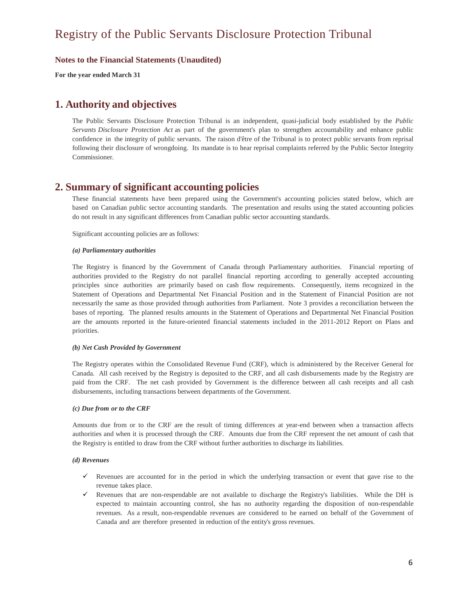**For the year ended March 31**

# **1. Authority and objectives**

The Public Servants Disclosure Protection Tribunal is an independent, quasi-judicial body established by the *Public Servants Disclosure Protection Act* as part of the government's plan to strengthen accountability and enhance public confidence in the integrity of public servants. The raison d'être of the Tribunal is to protect public servants from reprisal following their disclosure of wrongdoing. Its mandate is to hear reprisal complaints referred by the Public Sector Integrity Commissioner.

## **2. Summary of significant accounting policies**

These financial statements have been prepared using the Government's accounting policies stated below, which are based on Canadian public sector accounting standards. The presentation and results using the stated accounting policies do not result in any significant differences from Canadian public sector accounting standards.

Significant accounting policies are as follows:

#### *(a) Parliamentary authorities*

The Registry is financed by the Government of Canada through Parliamentary authorities. Financial reporting of authorities provided to the Registry do not parallel financial reporting according to generally accepted accounting principles since authorities are primarily based on cash flow requirements. Consequently, items recognized in the Statement of Operations and Departmental Net Financial Position and in the Statement of Financial Position are not necessarily the same as those provided through authorities from Parliament. Note 3 provides a reconciliation between the bases of reporting. The planned results amounts in the Statement of Operations and Departmental Net Financial Position are the amounts reported in the future-oriented financial statements included in the 2011-2012 Report on Plans and priorities.

#### *(b) Net Cash Provided by Government*

The Registry operates within the Consolidated Revenue Fund (CRF), which is administered by the Receiver General for Canada. All cash received by the Registry is deposited to the CRF, and all cash disbursements made by the Registry are paid from the CRF. The net cash provided by Government is the difference between all cash receipts and all cash disbursements, including transactions between departments of the Government.

#### *(c) Due from or to the CRF*

Amounts due from or to the CRF are the result of timing differences at year-end between when a transaction affects authorities and when it is processed through the CRF. Amounts due from the CRF represent the net amount of cash that the Registry is entitled to draw from the CRF without further authorities to discharge its liabilities.

#### *(d) Revenues*

- Revenues are accounted for in the period in which the underlying transaction or event that gave rise to the revenue takes place.
- Revenues that are non-respendable are not available to discharge the Registry's liabilities. While the DH is expected to maintain accounting control, she has no authority regarding the disposition of non-respendable revenues. As a result, non-respendable revenues are considered to be earned on behalf of the Government of Canada and are therefore presented in reduction of the entity's gross revenues.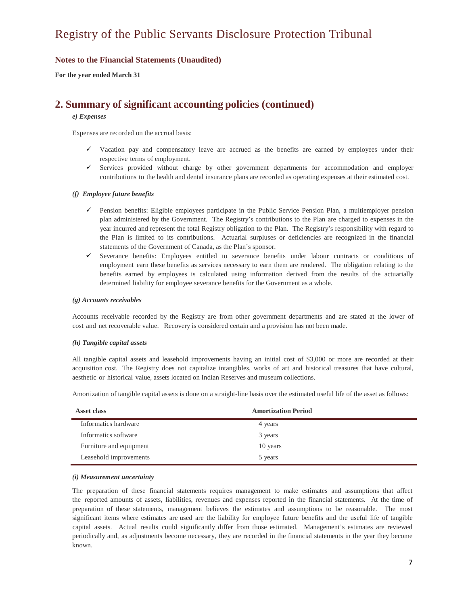**For the year ended March 31**

# **2. Summary of significant accounting policies (continued)**

#### *e) Expenses*

Expenses are recorded on the accrual basis:

- $\checkmark$  Vacation pay and compensatory leave are accrued as the benefits are earned by employees under their respective terms of employment.
- $\checkmark$  Services provided without charge by other government departments for accommodation and employer contributions to the health and dental insurance plans are recorded as operating expenses at their estimated cost.

#### *(f) Employee future benefits*

- $\checkmark$  Pension benefits: Eligible employees participate in the Public Service Pension Plan, a multiemployer pension plan administered by the Government. The Registry's contributions to the Plan are charged to expenses in the year incurred and represent the total Registry obligation to the Plan. The Registry's responsibility with regard to the Plan is limited to its contributions. Actuarial surpluses or deficiencies are recognized in the financial statements of the Government of Canada, as the Plan's sponsor.
- Severance benefits: Employees entitled to severance benefits under labour contracts or conditions of employment earn these benefits as services necessary to earn them are rendered. The obligation relating to the benefits earned by employees is calculated using information derived from the results of the actuarially determined liability for employee severance benefits for the Government as a whole.

#### *(g) Accounts receivables*

Accounts receivable recorded by the Registry are from other government departments and are stated at the lower of cost and net recoverable value. Recovery is considered certain and a provision has not been made.

#### *(h) Tangible capital assets*

All tangible capital assets and leasehold improvements having an initial cost of \$3,000 or more are recorded at their acquisition cost. The Registry does not capitalize intangibles, works of art and historical treasures that have cultural, aesthetic or historical value, assets located on Indian Reserves and museum collections.

Amortization of tangible capital assets is done on a straight-line basis over the estimated useful life of the asset as follows:

| Asset class             | <b>Amortization Period</b> |
|-------------------------|----------------------------|
| Informatics hardware    | 4 years                    |
| Informatics software    | 3 years                    |
| Furniture and equipment | 10 years                   |
| Leasehold improvements  | 5 years                    |

#### *(i) Measurement uncertainty*

The preparation of these financial statements requires management to make estimates and assumptions that affect the reported amounts of assets, liabilities, revenues and expenses reported in the financial statements. At the time of preparation of these statements, management believes the estimates and assumptions to be reasonable. The most significant items where estimates are used are the liability for employee future benefits and the useful life of tangible capital assets. Actual results could significantly differ from those estimated. Management's estimates are reviewed periodically and, as adjustments become necessary, they are recorded in the financial statements in the year they become known.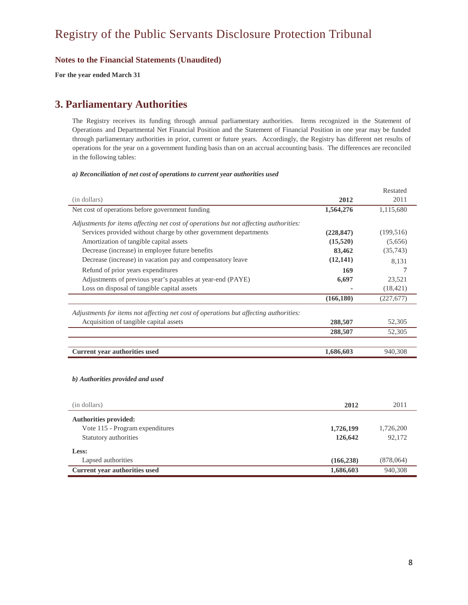**For the year ended March 31**

# **3. Parliamentary Authorities**

The Registry receives its funding through annual parliamentary authorities. Items recognized in the Statement of Operations and Departmental Net Financial Position and the Statement of Financial Position in one year may be funded through parliamentary authorities in prior, current or future years. Accordingly, the Registry has different net results of operations for the year on a government funding basis than on an accrual accounting basis. The differences are reconciled in the following tables:

#### *a) Reconciliation of net cost of operations to current year authorities used*

|                                                                                       |            | Restated   |
|---------------------------------------------------------------------------------------|------------|------------|
| (in dollars)                                                                          | 2012       | 2011       |
| Net cost of operations before government funding                                      | 1,564,276  | 1,115,680  |
| Adjustments for items affecting net cost of operations but not affecting authorities: |            |            |
| Services provided without charge by other government departments                      | (228, 847) | (199, 516) |
| Amortization of tangible capital assets                                               | (15,520)   | (5,656)    |
| Decrease (increase) in employee future benefits                                       | 83,462     | (35,743)   |
| Decrease (increase) in vacation pay and compensatory leave                            | (12,141)   | 8,131      |
| Refund of prior years expenditures                                                    | 169        | 7          |
| Adjustments of previous year's payables at year-end (PAYE)                            | 6,697      | 23,521     |
| Loss on disposal of tangible capital assets                                           |            | (18, 421)  |
|                                                                                       | (166, 180) | (227,677)  |
| Adjustments for items not affecting net cost of operations but affecting authorities: |            |            |
| Acquisition of tangible capital assets                                                | 288,507    | 52,305     |
|                                                                                       | 288,507    | 52,305     |
|                                                                                       |            |            |
| <b>Current year authorities used</b>                                                  | 1,686,603  | 940,308    |
|                                                                                       |            |            |
|                                                                                       |            |            |
| b) Authorities provided and used                                                      |            |            |

| (in dollars)                    | 2012       | 2011      |
|---------------------------------|------------|-----------|
| <b>Authorities provided:</b>    |            |           |
| Vote 115 - Program expenditures | 1,726,199  | 1,726,200 |
| Statutory authorities           | 126,642    | 92,172    |
| Less:                           |            |           |
| Lapsed authorities              | (166, 238) | (878,064) |
| Current year authorities used   | 1,686,603  | 940,308   |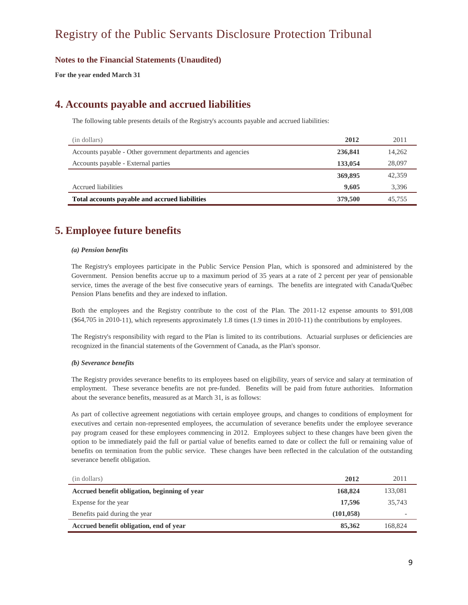**For the year ended March 31**

# **4. Accounts payable and accrued liabilities**

The following table presents details of the Registry's accounts payable and accrued liabilities:

| (in dollars)                                                 | 2012    | 2011   |
|--------------------------------------------------------------|---------|--------|
| Accounts payable - Other government departments and agencies | 236,841 | 14,262 |
| Accounts payable - External parties                          | 133,054 | 28,097 |
|                                                              | 369,895 | 42,359 |
| Accrued liabilities                                          | 9.605   | 3,396  |
| Total accounts payable and accrued liabilities               | 379,500 | 45,755 |

# **5. Employee future benefits**

#### *(a) Pension benefits*

The Registry's employees participate in the Public Service Pension Plan, which is sponsored and administered by the Government. Pension benefits accrue up to a maximum period of 35 years at a rate of 2 percent per year of pensionable service, times the average of the best five consecutive years of earnings. The benefits are integrated with Canada/Québec Pension Plans benefits and they are indexed to inflation.

Both the employees and the Registry contribute to the cost of the Plan. The 2011-12 expense amounts to \$91,008 (\$64,705 in 2010-11), which represents approximately 1.8 times (1.9 times in 2010-11) the contributions by employees.

The Registry's responsibility with regard to the Plan is limited to its contributions. Actuarial surpluses or deficiencies are recognized in the financial statements of the Government of Canada, as the Plan's sponsor.

#### *(b) Severance benefits*

The Registry provides severance benefits to its employees based on eligibility, years of service and salary at termination of employment. These severance benefits are not pre-funded. Benefits will be paid from future authorities. Information about the severance benefits, measured as at March 31, is as follows:

As part of collective agreement negotiations with certain employee groups, and changes to conditions of employment for executives and certain non-represented employees, the accumulation of severance benefits under the employee severance pay program ceased for these employees commencing in 2012. Employees subject to these changes have been given the option to be immediately paid the full or partial value of benefits earned to date or collect the full or remaining value of benefits on termination from the public service. These changes have been reflected in the calculation of the outstanding severance benefit obligation.

| (in dollars)                                  | 2012       | 2011                     |
|-----------------------------------------------|------------|--------------------------|
| Accrued benefit obligation, beginning of year | 168,824    | 133,081                  |
| Expense for the year                          | 17,596     | 35.743                   |
| Benefits paid during the year                 | (101, 058) | $\overline{\phantom{a}}$ |
| Accrued benefit obligation, end of year       | 85,362     | 168.824                  |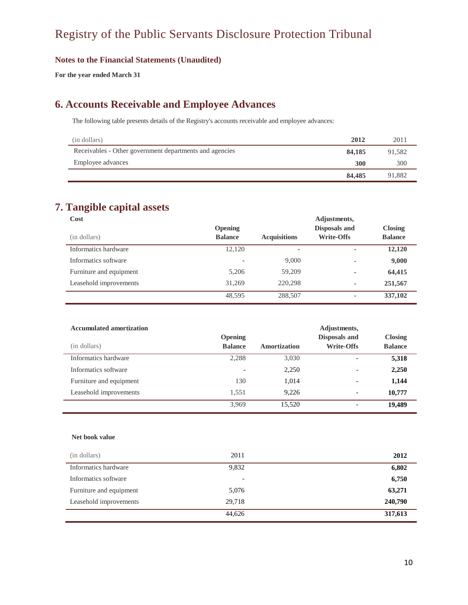### **Notes to the Financial Statements (Unaudited)**

**For the year ended March 31**

# **6. Accounts Receivable and Employee Advances**

The following table presents details of the Registry's accounts receivable and employee advances:

| (in dollars)                                            | 2012   | 2011   |
|---------------------------------------------------------|--------|--------|
| Receivables - Other government departments and agencies | 84,185 | 91.582 |
| Employee advances                                       | 300    | 300    |
|                                                         | 84,485 | 91.882 |

# **7. Tangible capital assets**

| Cost                    |                |                          | Adjustments,             |                |
|-------------------------|----------------|--------------------------|--------------------------|----------------|
|                         | <b>Opening</b> |                          | Disposals and            | <b>Closing</b> |
| (in dollars)            | <b>Balance</b> | <b>Acquisitions</b>      | <b>Write-Offs</b>        | <b>Balance</b> |
| Informatics hardware    | 12.120         | $\overline{\phantom{a}}$ | $\overline{\phantom{0}}$ | 12,120         |
| Informatics software    | -              | 9,000                    | ٠                        | 9,000          |
| Furniture and equipment | 5.206          | 59,209                   | ۰                        | 64,415         |
| Leasehold improvements  | 31,269         | 220,298                  | ۰                        | 251,567        |
|                         | 48,595         | 288,507                  | ٠                        | 337,102        |

| <b>Accumulated amortization</b> | Adjustments,   |              |                          |                |
|---------------------------------|----------------|--------------|--------------------------|----------------|
|                                 | <b>Opening</b> |              | Disposals and            | <b>Closing</b> |
| (in dollars)                    | <b>Balance</b> | Amortization | <b>Write-Offs</b>        | <b>Balance</b> |
| Informatics hardware            | 2,288          | 3,030        |                          | 5,318          |
| Informatics software            |                | 2,250        |                          | 2,250          |
| Furniture and equipment         | 130            | 1,014        |                          | 1,144          |
| Leasehold improvements          | 1,551          | 9,226        | $\overline{\phantom{0}}$ | 10,777         |
|                                 | 3.969          | 15.520       |                          | 19,489         |

#### **Net book value**

| (in dollars)            | 2011   | 2012    |
|-------------------------|--------|---------|
| Informatics hardware    | 9,832  | 6,802   |
| Informatics software    | -      | 6,750   |
| Furniture and equipment | 5,076  | 63,271  |
| Leasehold improvements  | 29,718 | 240,790 |
|                         | 44.626 | 317,613 |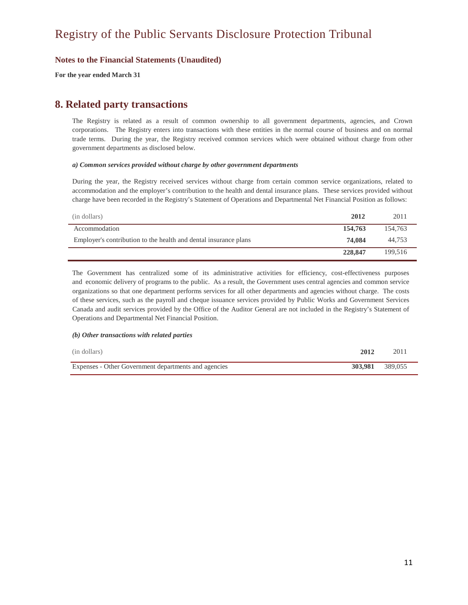**For the year ended March 31**

# **8. Related party transactions**

The Registry is related as a result of common ownership to all government departments, agencies, and Crown corporations. The Registry enters into transactions with these entities in the normal course of business and on normal trade terms. During the year, the Registry received common services which were obtained without charge from other government departments as disclosed below.

#### *a) Common services provided without charge by other government departments*

During the year, the Registry received services without charge from certain common service organizations, related to accommodation and the employer's contribution to the health and dental insurance plans. These services provided without charge have been recorded in the Registry's Statement of Operations and Departmental Net Financial Position as follows:

| (in dollars)                                                     | 2012    | 2011    |
|------------------------------------------------------------------|---------|---------|
| Accommodation                                                    | 154,763 | 154,763 |
| Employer's contribution to the health and dental insurance plans | 74.084  | 44,753  |
|                                                                  | 228,847 | 199.516 |

The Government has centralized some of its administrative activities for efficiency, cost-effectiveness purposes and economic delivery of programs to the public. As a result, the Government uses central agencies and common service organizations so that one department performs services for all other departments and agencies without charge. The costs of these services, such as the payroll and cheque issuance services provided by Public Works and Government Services Canada and audit services provided by the Office of the Auditor General are not included in the Registry's Statement of Operations and Departmental Net Financial Position.

#### *(b) Other transactions with related parties*

| (in dollars)                                         | 2012            | 2011 |
|------------------------------------------------------|-----------------|------|
| Expenses - Other Government departments and agencies | 303.981 389,055 |      |